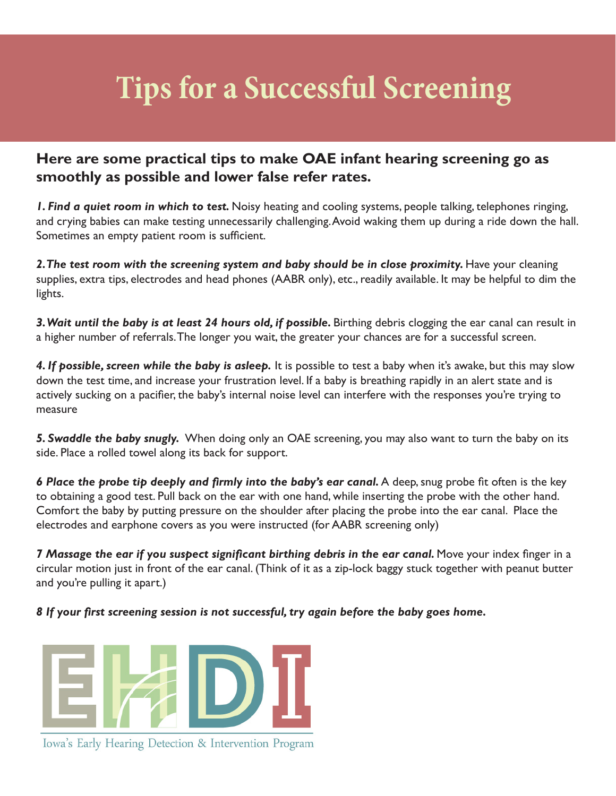## **Tips for a Successful Screening**

## **Here are some practical tips to make OAE infant hearing screening go as smoothly as possible and lower false refer rates.**

*1. Find a quiet room in which to test.* Noisy heating and cooling systems, people talking, telephones ringing, and crying babies can make testing unnecessarily challenging. Avoid waking them up during a ride down the hall. Sometimes an empty patient room is sufficient.

2. The test room with the screening system and baby should be in close proximity. Have your cleaning supplies, extra tips, electrodes and head phones (AABR only), etc., readily available. It may be helpful to dim the lights.

3. Wait until the baby is at least 24 hours old, if possible. Birthing debris clogging the ear canal can result in a higher number of referrals. The longer you wait, the greater your chances are for a successful screen.

*4. If possible, screen while the baby is asleep.* It is possible to test a baby when it's awake, but this may slow down the test time, and increase your frustration level. If a baby is breathing rapidly in an alert state and is actively sucking on a pacifier, the baby's internal noise level can interfere with the responses you're trying to measure

*5. Swaddle the baby snugly.* When doing only an OAE screening, you may also want to turn the baby on its side. Place a rolled towel along its back for support.

**6 Place the probe tip deeply and firmly into the baby's ear canal.** A deep, snug probe fit often is the key to obtaining a good test. Pull back on the ear with one hand, while inserting the probe with the other hand. Comfort the baby by putting pressure on the shoulder after placing the probe into the ear canal. Place the electrodes and earphone covers as you were instructed (for AABR screening only)

**7 Massage the ear if you suspect significant birthing debris in the ear canal. Move your index finger in a** circular motion just in front of the ear canal. (Think of it as a zip-lock baggy stuck together with peanut butter and you're pulling it apart.)

*8 If your first screening session is not successful, try again before the baby goes home.*



Iowa's Early Hearing Detection & Intervention Program